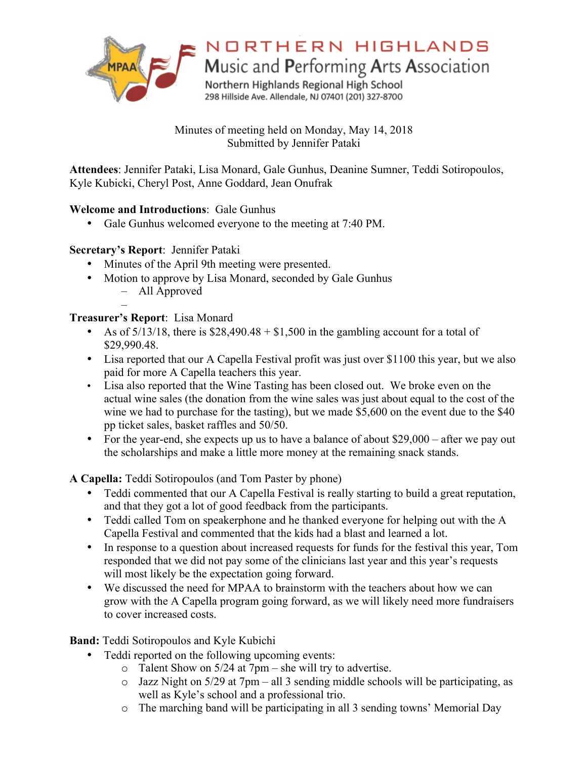

# NORTHERN HIGHLANDS

Music and Performing Arts Association

Northern Highlands Regional High School 298 Hillside Ave. Allendale, NJ 07401 (201) 327-8700

Minutes of meeting held on Monday, May 14, 2018 Submitted by Jennifer Pataki

**Attendees**: Jennifer Pataki, Lisa Monard, Gale Gunhus, Deanine Sumner, Teddi Sotiropoulos, Kyle Kubicki, Cheryl Post, Anne Goddard, Jean Onufrak

## **Welcome and Introductions**: Gale Gunhus

• Gale Gunhus welcomed everyone to the meeting at 7:40 PM.

# **Secretary's Report**: Jennifer Pataki

- Minutes of the April 9th meeting were presented.
- Motion to approve by Lisa Monard, seconded by Gale Gunhus
	- All Approved

#### – **Treasurer's Report**: Lisa Monard

- As of  $5/13/18$ , there is \$28,490.48 + \$1,500 in the gambling account for a total of \$29,990.48.
- Lisa reported that our A Capella Festival profit was just over \$1100 this year, but we also paid for more A Capella teachers this year.
- Lisa also reported that the Wine Tasting has been closed out. We broke even on the actual wine sales (the donation from the wine sales was just about equal to the cost of the wine we had to purchase for the tasting), but we made  $\overline{\$5,600\$$  on the event due to the \$40 pp ticket sales, basket raffles and 50/50.
- For the year-end, she expects up us to have a balance of about \$29,000 after we pay out the scholarships and make a little more money at the remaining snack stands.

**A Capella:** Teddi Sotiropoulos (and Tom Paster by phone)

- Teddi commented that our A Capella Festival is really starting to build a great reputation, and that they got a lot of good feedback from the participants.
- Teddi called Tom on speakerphone and he thanked everyone for helping out with the A Capella Festival and commented that the kids had a blast and learned a lot.
- In response to a question about increased requests for funds for the festival this year, Tom responded that we did not pay some of the clinicians last year and this year's requests will most likely be the expectation going forward.
- We discussed the need for MPAA to brainstorm with the teachers about how we can grow with the A Capella program going forward, as we will likely need more fundraisers to cover increased costs.

**Band:** Teddi Sotiropoulos and Kyle Kubichi

- Teddi reported on the following upcoming events:
	- $\circ$  Talent Show on 5/24 at 7pm she will try to advertise.
	- o Jazz Night on 5/29 at 7pm all 3 sending middle schools will be participating, as well as Kyle's school and a professional trio.
	- o The marching band will be participating in all 3 sending towns' Memorial Day